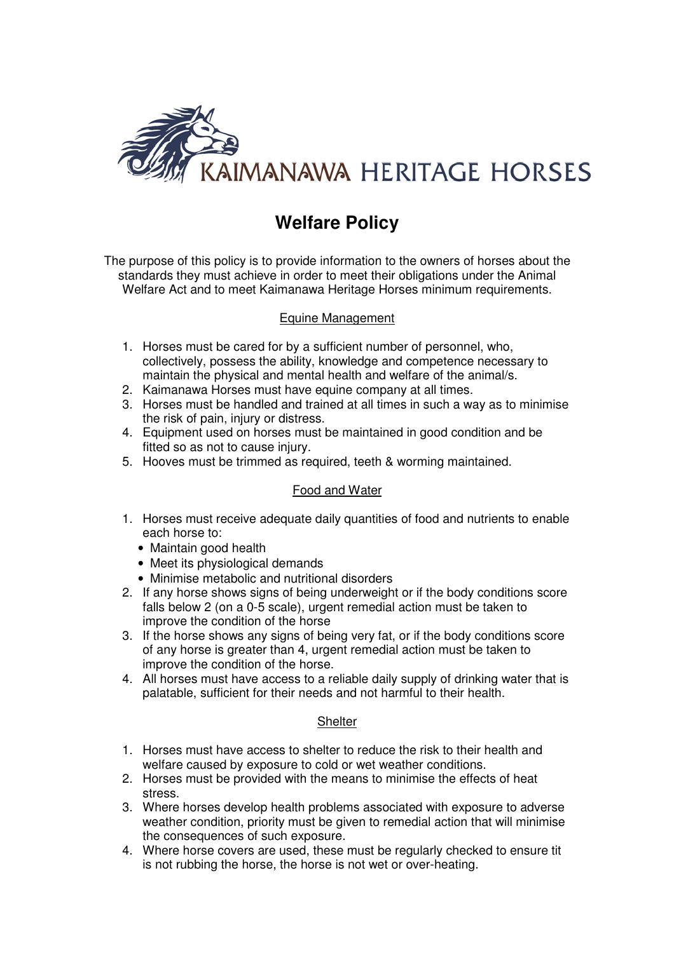

# **Welfare Policy**

The purpose of this policy is to provide information to the owners of horses about the standards they must achieve in order to meet their obligations under the Animal Welfare Act and to meet Kaimanawa Heritage Horses minimum requirements.

# Equine Management

- 1. Horses must be cared for by a sufficient number of personnel, who, collectively, possess the ability, knowledge and competence necessary to maintain the physical and mental health and welfare of the animal/s.
- 2. Kaimanawa Horses must have equine company at all times.
- 3. Horses must be handled and trained at all times in such a way as to minimise the risk of pain, injury or distress.
- 4. Equipment used on horses must be maintained in good condition and be fitted so as not to cause injury.
- 5. Hooves must be trimmed as required, teeth & worming maintained.

#### Food and Water

- 1. Horses must receive adequate daily quantities of food and nutrients to enable each horse to:
	- Maintain good health
	- Meet its physiological demands
	- Minimise metabolic and nutritional disorders
- 2. If any horse shows signs of being underweight or if the body conditions score falls below 2 (on a 0-5 scale), urgent remedial action must be taken to improve the condition of the horse
- 3. If the horse shows any signs of being very fat, or if the body conditions score of any horse is greater than 4, urgent remedial action must be taken to improve the condition of the horse.
- 4. All horses must have access to a reliable daily supply of drinking water that is palatable, sufficient for their needs and not harmful to their health.

#### **Shelter**

- 1. Horses must have access to shelter to reduce the risk to their health and welfare caused by exposure to cold or wet weather conditions.
- 2. Horses must be provided with the means to minimise the effects of heat stress.
- 3. Where horses develop health problems associated with exposure to adverse weather condition, priority must be given to remedial action that will minimise the consequences of such exposure.
- 4. Where horse covers are used, these must be regularly checked to ensure tit is not rubbing the horse, the horse is not wet or over-heating.